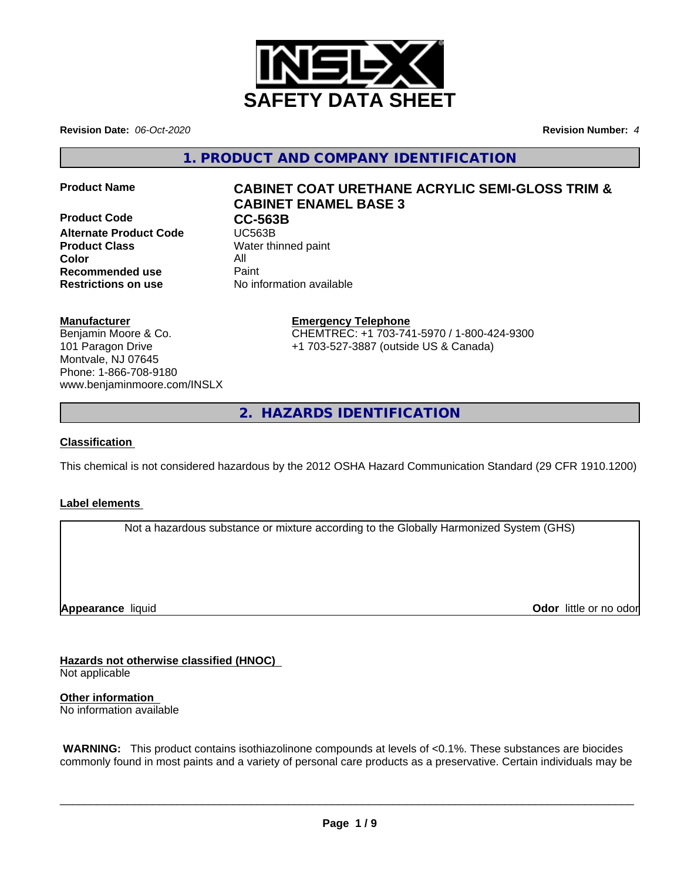

**Revision Date:** *06-Oct-2020* **Revision Number:** *4*

**1. PRODUCT AND COMPANY IDENTIFICATION**

**Product Code CC-563B**<br> **Alternate Product Code CC-563B Alternate Product Code Product Class** Water thinned paint **Color** All **Recommended use** Paint **Restrictions on use** No information available

# **Product Name CABINET COAT URETHANE ACRYLIC SEMI-GLOSS TRIM & CABINET ENAMEL BASE 3**

### **Manufacturer**

Benjamin Moore & Co. 101 Paragon Drive Montvale, NJ 07645 Phone: 1-866-708-9180 www.benjaminmoore.com/INSLX

## **Emergency Telephone**

CHEMTREC: +1 703-741-5970 / 1-800-424-9300 +1 703-527-3887 (outside US & Canada)

**2. HAZARDS IDENTIFICATION**

#### **Classification**

This chemical is not considered hazardous by the 2012 OSHA Hazard Communication Standard (29 CFR 1910.1200)

### **Label elements**

Not a hazardous substance or mixture according to the Globally Harmonized System (GHS)

**Appearance** liquid

**Odor** little or no odor

**Hazards not otherwise classified (HNOC)**

Not applicable

**Other information** No information available

 **WARNING:** This product contains isothiazolinone compounds at levels of <0.1%. These substances are biocides commonly found in most paints and a variety of personal care products as a preservative. Certain individuals may be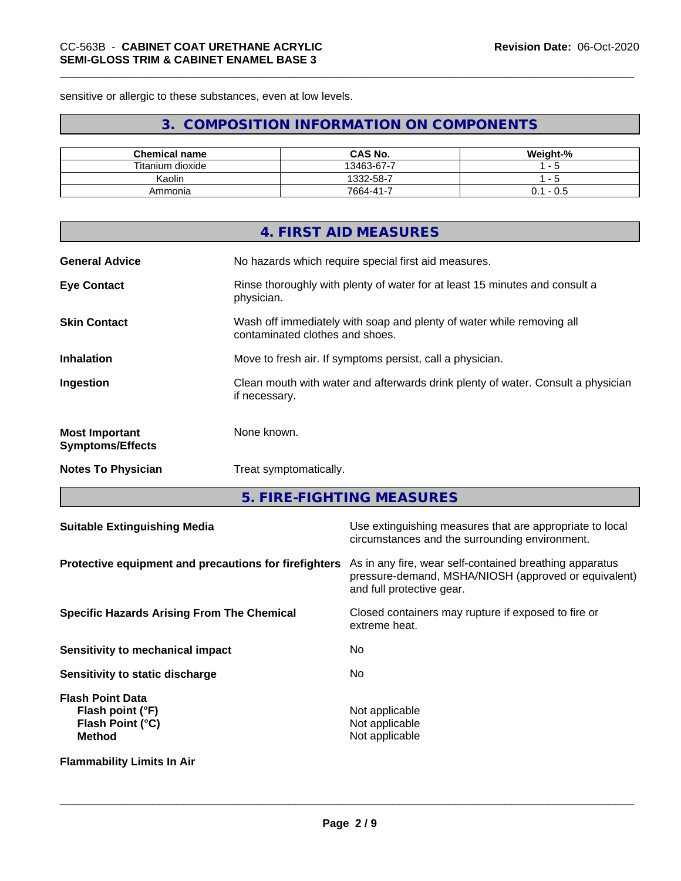sensitive or allergic to these substances, even at low levels.

# **3. COMPOSITION INFORMATION ON COMPONENTS**

| <b>Chemical name</b> | <b>CAS No.</b>  | Weight-%     |
|----------------------|-----------------|--------------|
| Titanium dioxide     | 13463-67-7<br>- |              |
| Kaolin               | 1332-58-7       |              |
| Ammonia              | $7664 - 41 -$   | - U.S<br>υ.ι |

|                                                  | 4. FIRST AID MEASURES                                                                                    |
|--------------------------------------------------|----------------------------------------------------------------------------------------------------------|
| <b>General Advice</b>                            | No hazards which require special first aid measures.                                                     |
| <b>Eye Contact</b>                               | Rinse thoroughly with plenty of water for at least 15 minutes and consult a<br>physician.                |
| <b>Skin Contact</b>                              | Wash off immediately with soap and plenty of water while removing all<br>contaminated clothes and shoes. |
| <b>Inhalation</b>                                | Move to fresh air. If symptoms persist, call a physician.                                                |
| Ingestion                                        | Clean mouth with water and afterwards drink plenty of water. Consult a physician<br>if necessary.        |
| <b>Most Important</b><br><b>Symptoms/Effects</b> | None known.                                                                                              |
| <b>Notes To Physician</b>                        | Treat symptomatically.                                                                                   |
|                                                  |                                                                                                          |

**5. FIRE-FIGHTING MEASURES**

| <b>Suitable Extinguishing Media</b>                                              | Use extinguishing measures that are appropriate to local<br>circumstances and the surrounding environment.                                   |
|----------------------------------------------------------------------------------|----------------------------------------------------------------------------------------------------------------------------------------------|
| Protective equipment and precautions for firefighters                            | As in any fire, wear self-contained breathing apparatus<br>pressure-demand, MSHA/NIOSH (approved or equivalent)<br>and full protective gear. |
| <b>Specific Hazards Arising From The Chemical</b>                                | Closed containers may rupture if exposed to fire or<br>extreme heat.                                                                         |
| Sensitivity to mechanical impact                                                 | No.                                                                                                                                          |
| Sensitivity to static discharge                                                  | No.                                                                                                                                          |
| <b>Flash Point Data</b><br>Flash point (°F)<br>Flash Point (°C)<br><b>Method</b> | Not applicable<br>Not applicable<br>Not applicable                                                                                           |
| <b>Flammability Limits In Air</b>                                                |                                                                                                                                              |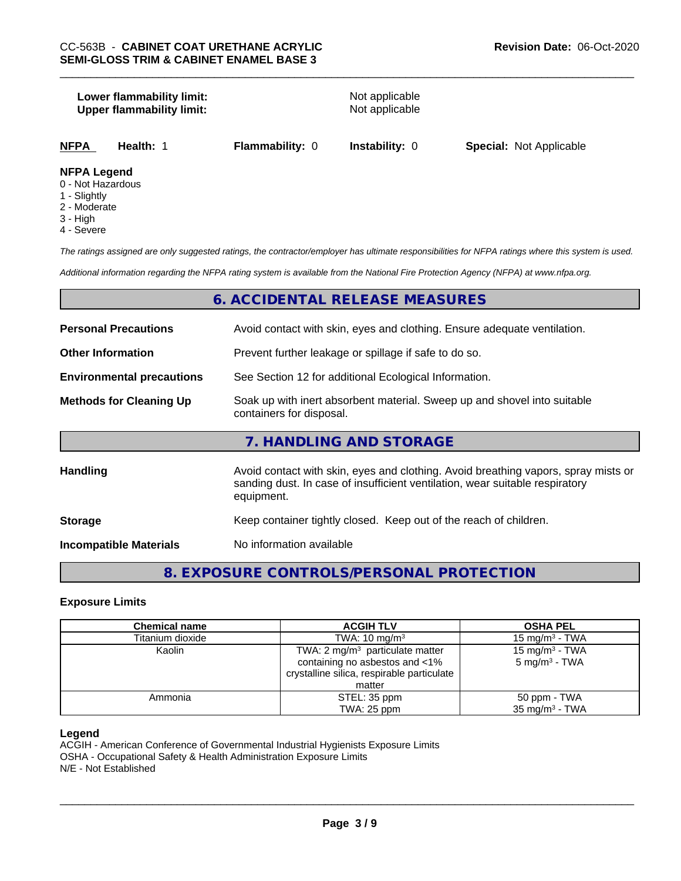#### **Lower flammability limit:**<br> **Upper flammability limit:**<br>
Upper flammability limit:<br>
Not applicable **Upper flammability limit:**

**NFPA Health:** 1 **Flammability:** 0 **Instability:** 0 **Special:** Not Applicable

#### **NFPA Legend**

- 0 Not Hazardous
- 1 Slightly
- 2 Moderate
- 3 High
- 4 Severe

*The ratings assigned are only suggested ratings, the contractor/employer has ultimate responsibilities for NFPA ratings where this system is used.*

*Additional information regarding the NFPA rating system is available from the National Fire Protection Agency (NFPA) at www.nfpa.org.*

## **6. ACCIDENTAL RELEASE MEASURES**

| <b>Personal Precautions</b>      | Avoid contact with skin, eyes and clothing. Ensure adequate ventilation.                                                                                                         |
|----------------------------------|----------------------------------------------------------------------------------------------------------------------------------------------------------------------------------|
| <b>Other Information</b>         | Prevent further leakage or spillage if safe to do so.                                                                                                                            |
| <b>Environmental precautions</b> | See Section 12 for additional Ecological Information.                                                                                                                            |
| <b>Methods for Cleaning Up</b>   | Soak up with inert absorbent material. Sweep up and shovel into suitable<br>containers for disposal.                                                                             |
|                                  | 7. HANDLING AND STORAGE                                                                                                                                                          |
| <b>Handling</b>                  | Avoid contact with skin, eyes and clothing. Avoid breathing vapors, spray mists or<br>sanding dust. In case of insufficient ventilation, wear suitable respiratory<br>equipment. |
| <b>Storage</b>                   | Keep container tightly closed. Keep out of the reach of children.                                                                                                                |
| <b>Incompatible Materials</b>    | No information available                                                                                                                                                         |

# **8. EXPOSURE CONTROLS/PERSONAL PROTECTION**

#### **Exposure Limits**

| <b>Chemical name</b> | <b>ACGIH TLV</b>                           | <b>OSHA PEL</b>            |
|----------------------|--------------------------------------------|----------------------------|
| Titanium dioxide     | TWA: $10 \text{ mg/m}^3$                   | 15 mg/m $3$ - TWA          |
| Kaolin               | TWA: $2 \text{ mg/m}^3$ particulate matter | 15 mg/m <sup>3</sup> - TWA |
|                      | containing no asbestos and <1%             | $5 \text{ mg/m}^3$ - TWA   |
|                      | crystalline silica, respirable particulate |                            |
|                      | matter                                     |                            |
| Ammonia              | STEL: 35 ppm                               | 50 ppm - TWA               |
|                      | TWA: 25 ppm                                | 35 mg/m <sup>3</sup> - TWA |

#### **Legend**

ACGIH - American Conference of Governmental Industrial Hygienists Exposure Limits OSHA - Occupational Safety & Health Administration Exposure Limits N/E - Not Established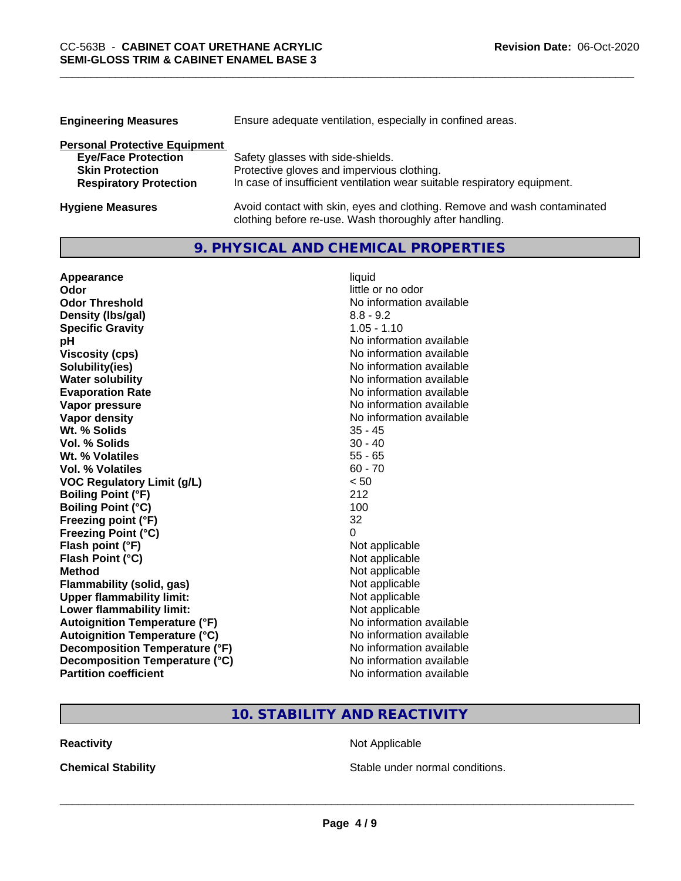| <b>Engineering Measures</b>          | Ensure adequate ventilation, especially in confined areas.               |  |
|--------------------------------------|--------------------------------------------------------------------------|--|
| <b>Personal Protective Equipment</b> |                                                                          |  |
| <b>Eye/Face Protection</b>           | Safety glasses with side-shields.                                        |  |
| <b>Skin Protection</b>               | Protective gloves and impervious clothing.                               |  |
| <b>Respiratory Protection</b>        | In case of insufficient ventilation wear suitable respiratory equipment. |  |
| <b>Hygiene Measures</b>              | Avoid contact with skin, eyes and clothing. Remove and wash contaminated |  |

clothing before re-use. Wash thoroughly after handling.

## **9. PHYSICAL AND CHEMICAL PROPERTIES**

| Appearance                           | liquid                   |
|--------------------------------------|--------------------------|
| Odor                                 | little or no odor        |
| <b>Odor Threshold</b>                | No information available |
| Density (Ibs/gal)                    | $8.8 - 9.2$              |
| <b>Specific Gravity</b>              | $1.05 - 1.10$            |
| pH                                   | No information available |
| <b>Viscosity (cps)</b>               | No information available |
| Solubility(ies)                      | No information available |
| <b>Water solubility</b>              | No information available |
| <b>Evaporation Rate</b>              | No information available |
| Vapor pressure                       | No information available |
| <b>Vapor density</b>                 | No information available |
| Wt. % Solids                         | $35 - 45$                |
| Vol. % Solids                        | $30 - 40$                |
| Wt. % Volatiles                      | $55 - 65$                |
| Vol. % Volatiles                     | $60 - 70$                |
| <b>VOC Regulatory Limit (g/L)</b>    | < 50                     |
| <b>Boiling Point (°F)</b>            | 212                      |
| <b>Boiling Point (°C)</b>            | 100                      |
| Freezing point (°F)                  | 32                       |
| <b>Freezing Point (°C)</b>           | 0                        |
| Flash point (°F)                     | Not applicable           |
| Flash Point (°C)                     | Not applicable           |
| <b>Method</b>                        | Not applicable           |
| <b>Flammability (solid, gas)</b>     | Not applicable           |
| <b>Upper flammability limit:</b>     | Not applicable           |
| Lower flammability limit:            | Not applicable           |
| <b>Autoignition Temperature (°F)</b> | No information available |
| <b>Autoignition Temperature (°C)</b> | No information available |
| Decomposition Temperature (°F)       | No information available |
| Decomposition Temperature (°C)       | No information available |
| <b>Partition coefficient</b>         | No information available |

# **10. STABILITY AND REACTIVITY**

**Reactivity Not Applicable** Not Applicable

**Chemical Stability Chemical Stability** Stable under normal conditions.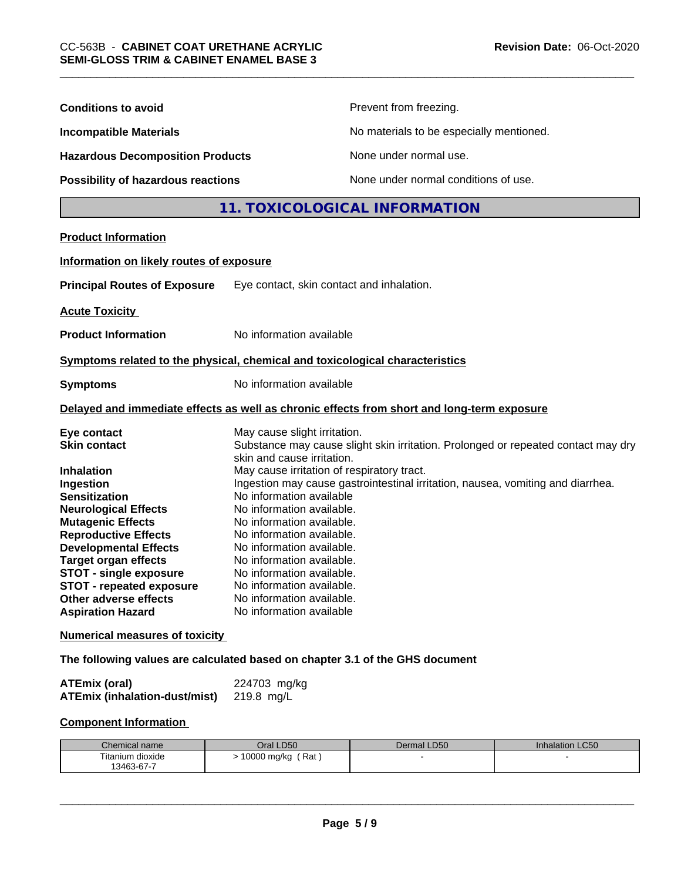| <b>Conditions to avoid</b>                                                                                                                                                                                                                                                                                                                                                     |                                                                                                                                                                                                                                                                                                                                                                                                                                                                                                                                                                                  | Prevent from freezing.                   |                 |
|--------------------------------------------------------------------------------------------------------------------------------------------------------------------------------------------------------------------------------------------------------------------------------------------------------------------------------------------------------------------------------|----------------------------------------------------------------------------------------------------------------------------------------------------------------------------------------------------------------------------------------------------------------------------------------------------------------------------------------------------------------------------------------------------------------------------------------------------------------------------------------------------------------------------------------------------------------------------------|------------------------------------------|-----------------|
| <b>Incompatible Materials</b>                                                                                                                                                                                                                                                                                                                                                  |                                                                                                                                                                                                                                                                                                                                                                                                                                                                                                                                                                                  | No materials to be especially mentioned. |                 |
| <b>Hazardous Decomposition Products</b>                                                                                                                                                                                                                                                                                                                                        |                                                                                                                                                                                                                                                                                                                                                                                                                                                                                                                                                                                  | None under normal use.                   |                 |
| Possibility of hazardous reactions                                                                                                                                                                                                                                                                                                                                             |                                                                                                                                                                                                                                                                                                                                                                                                                                                                                                                                                                                  | None under normal conditions of use.     |                 |
|                                                                                                                                                                                                                                                                                                                                                                                |                                                                                                                                                                                                                                                                                                                                                                                                                                                                                                                                                                                  | 11. TOXICOLOGICAL INFORMATION            |                 |
| <b>Product Information</b>                                                                                                                                                                                                                                                                                                                                                     |                                                                                                                                                                                                                                                                                                                                                                                                                                                                                                                                                                                  |                                          |                 |
| Information on likely routes of exposure                                                                                                                                                                                                                                                                                                                                       |                                                                                                                                                                                                                                                                                                                                                                                                                                                                                                                                                                                  |                                          |                 |
| <b>Principal Routes of Exposure</b>                                                                                                                                                                                                                                                                                                                                            | Eye contact, skin contact and inhalation.                                                                                                                                                                                                                                                                                                                                                                                                                                                                                                                                        |                                          |                 |
| <b>Acute Toxicity</b>                                                                                                                                                                                                                                                                                                                                                          |                                                                                                                                                                                                                                                                                                                                                                                                                                                                                                                                                                                  |                                          |                 |
| <b>Product Information</b>                                                                                                                                                                                                                                                                                                                                                     | No information available                                                                                                                                                                                                                                                                                                                                                                                                                                                                                                                                                         |                                          |                 |
| Symptoms related to the physical, chemical and toxicological characteristics                                                                                                                                                                                                                                                                                                   |                                                                                                                                                                                                                                                                                                                                                                                                                                                                                                                                                                                  |                                          |                 |
| <b>Symptoms</b>                                                                                                                                                                                                                                                                                                                                                                | No information available                                                                                                                                                                                                                                                                                                                                                                                                                                                                                                                                                         |                                          |                 |
| Delayed and immediate effects as well as chronic effects from short and long-term exposure                                                                                                                                                                                                                                                                                     |                                                                                                                                                                                                                                                                                                                                                                                                                                                                                                                                                                                  |                                          |                 |
| Eye contact<br><b>Skin contact</b><br><b>Inhalation</b><br>Ingestion<br><b>Sensitization</b><br><b>Neurological Effects</b><br><b>Mutagenic Effects</b><br><b>Reproductive Effects</b><br><b>Developmental Effects</b><br><b>Target organ effects</b><br><b>STOT - single exposure</b><br><b>STOT - repeated exposure</b><br>Other adverse effects<br><b>Aspiration Hazard</b> | May cause slight irritation.<br>Substance may cause slight skin irritation. Prolonged or repeated contact may dry<br>skin and cause irritation.<br>May cause irritation of respiratory tract.<br>Ingestion may cause gastrointestinal irritation, nausea, vomiting and diarrhea.<br>No information available<br>No information available.<br>No information available.<br>No information available.<br>No information available.<br>No information available.<br>No information available.<br>No information available.<br>No information available.<br>No information available |                                          |                 |
| <b>Numerical measures of toxicity</b>                                                                                                                                                                                                                                                                                                                                          |                                                                                                                                                                                                                                                                                                                                                                                                                                                                                                                                                                                  |                                          |                 |
| The following values are calculated based on chapter 3.1 of the GHS document                                                                                                                                                                                                                                                                                                   |                                                                                                                                                                                                                                                                                                                                                                                                                                                                                                                                                                                  |                                          |                 |
| <b>ATEmix (oral)</b><br><b>ATEmix (inhalation-dust/mist)</b>                                                                                                                                                                                                                                                                                                                   | 224703 mg/kg<br>219.8 mg/L                                                                                                                                                                                                                                                                                                                                                                                                                                                                                                                                                       |                                          |                 |
| <b>Component Information</b>                                                                                                                                                                                                                                                                                                                                                   |                                                                                                                                                                                                                                                                                                                                                                                                                                                                                                                                                                                  |                                          |                 |
| Chemical name                                                                                                                                                                                                                                                                                                                                                                  | Oral LD50                                                                                                                                                                                                                                                                                                                                                                                                                                                                                                                                                                        | Dermal LD50                              | Inhalation LC50 |
| Titanium dioxide<br>13463-67-7                                                                                                                                                                                                                                                                                                                                                 | > 10000 mg/kg (Rat)                                                                                                                                                                                                                                                                                                                                                                                                                                                                                                                                                              |                                          |                 |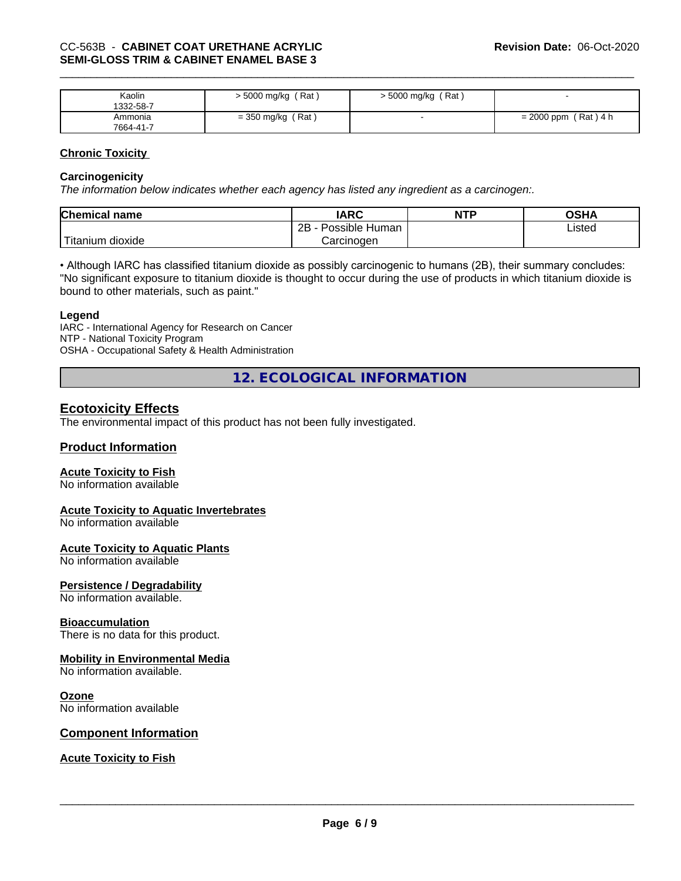| Kaolin<br>1332-58-7  | 5000 mg/kg (Rat)    | > 5000 mg/kg (Rat) |                        |
|----------------------|---------------------|--------------------|------------------------|
| Ammonia<br>7664-41-7 | $=$ 350 mg/kg (Rat) |                    | $= 2000$ ppm (Rat) 4 h |

#### **Chronic Toxicity**

#### **Carcinogenicity**

*The information below indicateswhether each agency has listed any ingredient as a carcinogen:.*

| <b>Chemical name</b>             | <b>IARC</b>          | <b>NTP</b> | OSHA   |
|----------------------------------|----------------------|------------|--------|
|                                  | Possible Human<br>2B |            | Listed |
| $\mathbf{r}$<br>Fitanium dioxide | Carcinogen           |            |        |

• Although IARC has classified titanium dioxide as possibly carcinogenic to humans (2B), their summary concludes: "No significant exposure to titanium dioxide is thought to occur during the use of products in which titanium dioxide is bound to other materials, such as paint."

#### **Legend**

IARC - International Agency for Research on Cancer NTP - National Toxicity Program OSHA - Occupational Safety & Health Administration

**12. ECOLOGICAL INFORMATION**

## **Ecotoxicity Effects**

The environmental impact of this product has not been fully investigated.

### **Product Information**

#### **Acute Toxicity to Fish**

No information available

#### **Acute Toxicity to Aquatic Invertebrates**

No information available

# **Acute Toxicity to Aquatic Plants**

No information available

#### **Persistence / Degradability**

No information available.

#### **Bioaccumulation**

There is no data for this product.

#### **Mobility in Environmental Media**

No information available.

#### **Ozone**

No information available

#### **Component Information**

### **Acute Toxicity to Fish**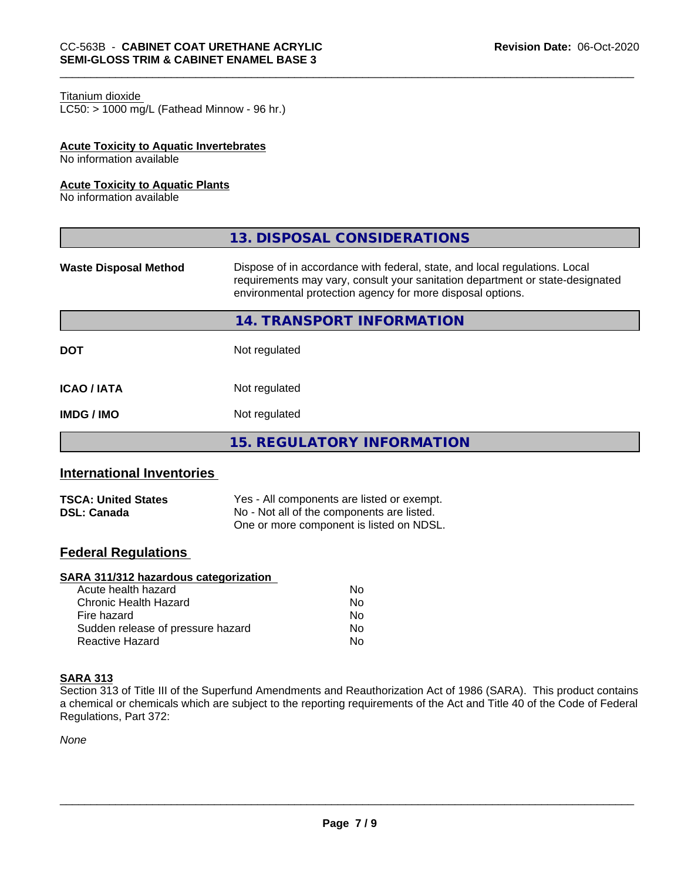#### Titanium dioxide

 $LC50:$  > 1000 mg/L (Fathead Minnow - 96 hr.)

#### **Acute Toxicity to Aquatic Invertebrates**

No information available

#### **Acute Toxicity to Aquatic Plants**

No information available

|                              | 13. DISPOSAL CONSIDERATIONS                                                                                                                                                                                               |
|------------------------------|---------------------------------------------------------------------------------------------------------------------------------------------------------------------------------------------------------------------------|
| <b>Waste Disposal Method</b> | Dispose of in accordance with federal, state, and local regulations. Local<br>requirements may vary, consult your sanitation department or state-designated<br>environmental protection agency for more disposal options. |
|                              | 14. TRANSPORT INFORMATION                                                                                                                                                                                                 |
| <b>DOT</b>                   | Not regulated                                                                                                                                                                                                             |
| <b>ICAO / IATA</b>           | Not regulated                                                                                                                                                                                                             |
| <b>IMDG / IMO</b>            | Not regulated                                                                                                                                                                                                             |
|                              | <b>15. REGULATORY INFORMATION</b>                                                                                                                                                                                         |

## **International Inventories**

| <b>TSCA: United States</b> | Yes - All components are listed or exempt. |
|----------------------------|--------------------------------------------|
| <b>DSL: Canada</b>         | No - Not all of the components are listed. |
|                            | One or more component is listed on NDSL.   |

## **Federal Regulations**

#### **SARA 311/312 hazardous categorization**

| Acute health hazard               | Nο |  |
|-----------------------------------|----|--|
| Chronic Health Hazard             | Nο |  |
| Fire hazard                       | Nο |  |
| Sudden release of pressure hazard | Nο |  |
| Reactive Hazard                   | Nο |  |

#### **SARA 313**

Section 313 of Title III of the Superfund Amendments and Reauthorization Act of 1986 (SARA). This product contains a chemical or chemicals which are subject to the reporting requirements of the Act and Title 40 of the Code of Federal Regulations, Part 372:

*None*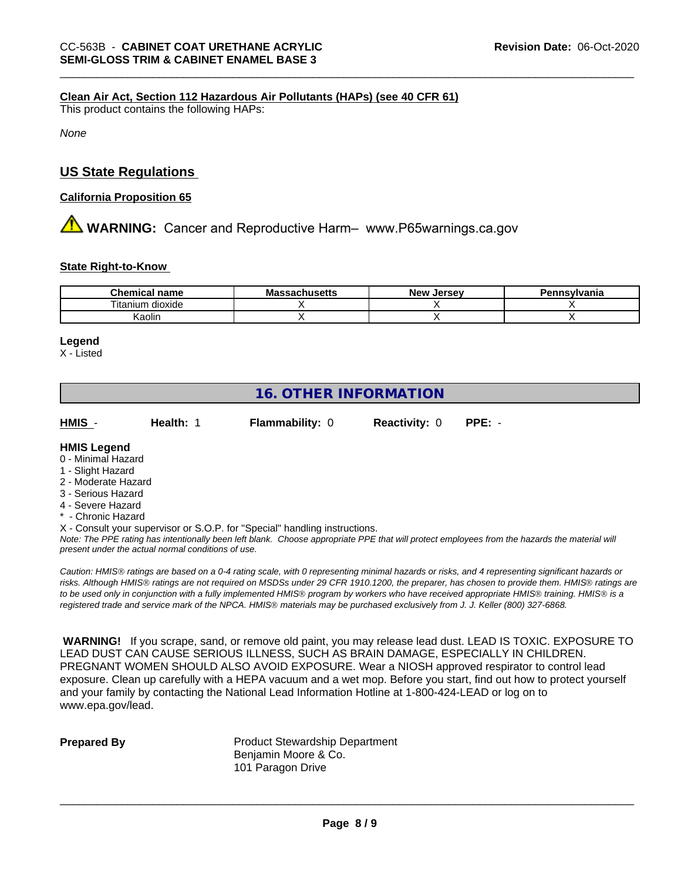#### **Clean Air Act,Section 112 Hazardous Air Pollutants (HAPs) (see 40 CFR 61)**

This product contains the following HAPs:

*None*

### **US State Regulations**

#### **California Proposition 65**

**AVIMARNING:** Cancer and Reproductive Harm– www.P65warnings.ca.gov

#### **State Right-to-Know**

| <b>Chemical</b><br>name | . .<br>M -<br>טוועס | Jersev<br><b>Nev</b> | svivania |
|-------------------------|---------------------|----------------------|----------|
| dioxide<br>i itanıum    |                     |                      |          |
| Kaolin                  |                     |                      |          |

#### **Legend**

X - Listed

## **16. OTHER INFORMATION**

**HMIS** - **Health:** 1 **Flammability:** 0 **Reactivity:** 0 **PPE:** -

#### **HMIS Legend**

- 0 Minimal Hazard
- 1 Slight Hazard
- 2 Moderate Hazard
- 3 Serious Hazard
- 4 Severe Hazard
- **Chronic Hazard**
- X Consult your supervisor or S.O.P. for "Special" handling instructions.

*Note: The PPE rating has intentionally been left blank. Choose appropriate PPE that will protect employees from the hazards the material will present under the actual normal conditions of use.*

*Caution: HMISÒ ratings are based on a 0-4 rating scale, with 0 representing minimal hazards or risks, and 4 representing significant hazards or risks. Although HMISÒ ratings are not required on MSDSs under 29 CFR 1910.1200, the preparer, has chosen to provide them. HMISÒ ratings are to be used only in conjunction with a fully implemented HMISÒ program by workers who have received appropriate HMISÒ training. HMISÒ is a registered trade and service mark of the NPCA. HMISÒ materials may be purchased exclusively from J. J. Keller (800) 327-6868.*

 **WARNING!** If you scrape, sand, or remove old paint, you may release lead dust. LEAD IS TOXIC. EXPOSURE TO LEAD DUST CAN CAUSE SERIOUS ILLNESS, SUCH AS BRAIN DAMAGE, ESPECIALLY IN CHILDREN. PREGNANT WOMEN SHOULD ALSO AVOID EXPOSURE.Wear a NIOSH approved respirator to control lead exposure. Clean up carefully with a HEPA vacuum and a wet mop. Before you start, find out how to protect yourself and your family by contacting the National Lead Information Hotline at 1-800-424-LEAD or log on to www.epa.gov/lead.

**Prepared By** Product Stewardship Department Benjamin Moore & Co. 101 Paragon Drive